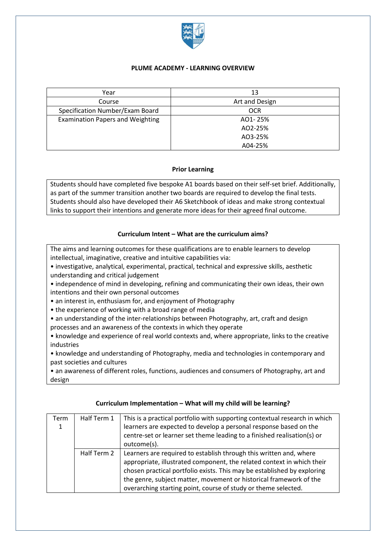

### **PLUME ACADEMY - LEARNING OVERVIEW**

| Year                                    | 13             |
|-----------------------------------------|----------------|
| Course                                  | Art and Design |
| Specification Number/Exam Board         | <b>OCR</b>     |
| <b>Examination Papers and Weighting</b> | AO1-25%        |
|                                         | AO2-25%        |
|                                         | AO3-25%        |
|                                         | A04-25%        |

#### **Prior Learning**

Students should have completed five bespoke A1 boards based on their self-set brief. Additionally, as part of the summer transition another two boards are required to develop the final tests. Students should also have developed their A6 Sketchbook of ideas and make strong contextual links to support their intentions and generate more ideas for their agreed final outcome.

## **Curriculum Intent – What are the curriculum aims?**

The aims and learning outcomes for these qualifications are to enable learners to develop intellectual, imaginative, creative and intuitive capabilities via:

- investigative, analytical, experimental, practical, technical and expressive skills, aesthetic understanding and critical judgement
- independence of mind in developing, refining and communicating their own ideas, their own intentions and their own personal outcomes
- an interest in, enthusiasm for, and enjoyment of Photography
- the experience of working with a broad range of media
- an understanding of the inter-relationships between Photography, art, craft and design
- processes and an awareness of the contexts in which they operate
- knowledge and experience of real world contexts and, where appropriate, links to the creative industries
- knowledge and understanding of Photography, media and technologies in contemporary and past societies and cultures

• an awareness of different roles, functions, audiences and consumers of Photography, art and design

| Term<br>1 | Half Term 1 | This is a practical portfolio with supporting contextual research in which<br>learners are expected to develop a personal response based on the<br>centre-set or learner set theme leading to a finished realisation(s) or<br>outcome(s).                                                                                                                       |  |
|-----------|-------------|-----------------------------------------------------------------------------------------------------------------------------------------------------------------------------------------------------------------------------------------------------------------------------------------------------------------------------------------------------------------|--|
|           | Half Term 2 | Learners are required to establish through this written and, where<br>appropriate, illustrated component, the related context in which their<br>chosen practical portfolio exists. This may be established by exploring<br>the genre, subject matter, movement or historical framework of the<br>overarching starting point, course of study or theme selected. |  |

#### **Curriculum Implementation – What will my child will be learning?**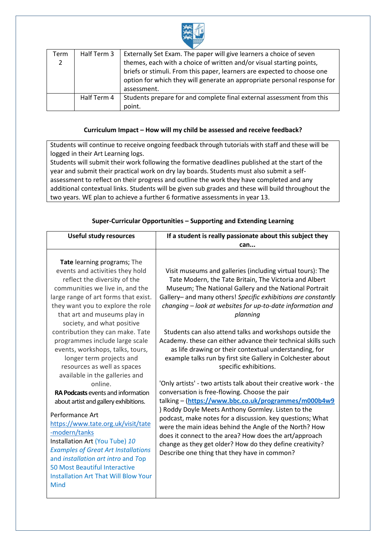

| Term | Half Term 3 | Externally Set Exam. The paper will give learners a choice of seven      |
|------|-------------|--------------------------------------------------------------------------|
| 2    |             | themes, each with a choice of written and/or visual starting points,     |
|      |             | briefs or stimuli. From this paper, learners are expected to choose one  |
|      |             | option for which they will generate an appropriate personal response for |
|      |             | assessment.                                                              |
|      | Half Term 4 | Students prepare for and complete final external assessment from this    |
|      |             | point.                                                                   |

### **Curriculum Impact – How will my child be assessed and receive feedback?**

Students will continue to receive ongoing feedback through tutorials with staff and these will be logged in their Art Learning logs.

Students will submit their work following the formative deadlines published at the start of the year and submit their practical work on dry lay boards. Students must also submit a selfassessment to reflect on their progress and outline the work they have completed and any additional contextual links. Students will be given sub grades and these will build throughout the two years. WE plan to achieve a further 6 formative assessments in year 13.

| <b>Useful study resources</b>                                                                                                                                                                                                                                                                                                                                                                                                                                                                                                                                                                                                                                                                                                                                                                                                                                                       | If a student is really passionate about this subject they                                                                                                                                                                                                                                                                                                                                                                                                                                                                                                                                                                                                                                                                                                                                                                                                                                                                                                                                                                                                                                                                                 |
|-------------------------------------------------------------------------------------------------------------------------------------------------------------------------------------------------------------------------------------------------------------------------------------------------------------------------------------------------------------------------------------------------------------------------------------------------------------------------------------------------------------------------------------------------------------------------------------------------------------------------------------------------------------------------------------------------------------------------------------------------------------------------------------------------------------------------------------------------------------------------------------|-------------------------------------------------------------------------------------------------------------------------------------------------------------------------------------------------------------------------------------------------------------------------------------------------------------------------------------------------------------------------------------------------------------------------------------------------------------------------------------------------------------------------------------------------------------------------------------------------------------------------------------------------------------------------------------------------------------------------------------------------------------------------------------------------------------------------------------------------------------------------------------------------------------------------------------------------------------------------------------------------------------------------------------------------------------------------------------------------------------------------------------------|
|                                                                                                                                                                                                                                                                                                                                                                                                                                                                                                                                                                                                                                                                                                                                                                                                                                                                                     | can                                                                                                                                                                                                                                                                                                                                                                                                                                                                                                                                                                                                                                                                                                                                                                                                                                                                                                                                                                                                                                                                                                                                       |
| Tate learning programs; The<br>events and activities they hold<br>reflect the diversity of the<br>communities we live in, and the<br>large range of art forms that exist.<br>they want you to explore the role<br>that art and museums play in<br>society, and what positive<br>contribution they can make. Tate<br>programmes include large scale<br>events, workshops, talks, tours,<br>longer term projects and<br>resources as well as spaces<br>available in the galleries and<br>online.<br><b>RA Podcasts</b> events and information<br>about artist and gallery exhibitions.<br>Performance Art<br>https://www.tate.org.uk/visit/tate<br>-modern/tanks<br>Installation Art (You Tube) 10<br><b>Examples of Great Art Installations</b><br>and installation art intro and Top<br><b>50 Most Beautiful Interactive</b><br><b>Installation Art That Will Blow Your</b><br>Mind | Visit museums and galleries (including virtual tours): The<br>Tate Modern, the Tate Britain, The Victoria and Albert<br>Museum; The National Gallery and the National Portrait<br>Gallery- and many others! Specific exhibitions are constantly<br>changing – look at websites for up-to-date information and<br>planning<br>Students can also attend talks and workshops outside the<br>Academy. these can either advance their technical skills such<br>as life drawing or their contextual understanding, for<br>example talks run by first site Gallery in Colchester about<br>specific exhibitions.<br>'Only artists' - two artists talk about their creative work - the<br>conversation is free-flowing. Choose the pair<br>talking - (https://www.bbc.co.uk/programmes/m000b4w9<br>) Roddy Doyle Meets Anthony Gormley. Listen to the<br>podcast, make notes for a discussion. key questions; What<br>were the main ideas behind the Angle of the North? How<br>does it connect to the area? How does the art/approach<br>change as they get older? How do they define creativity?<br>Describe one thing that they have in common? |

# **Super-Curricular Opportunities – Supporting and Extending Learning**